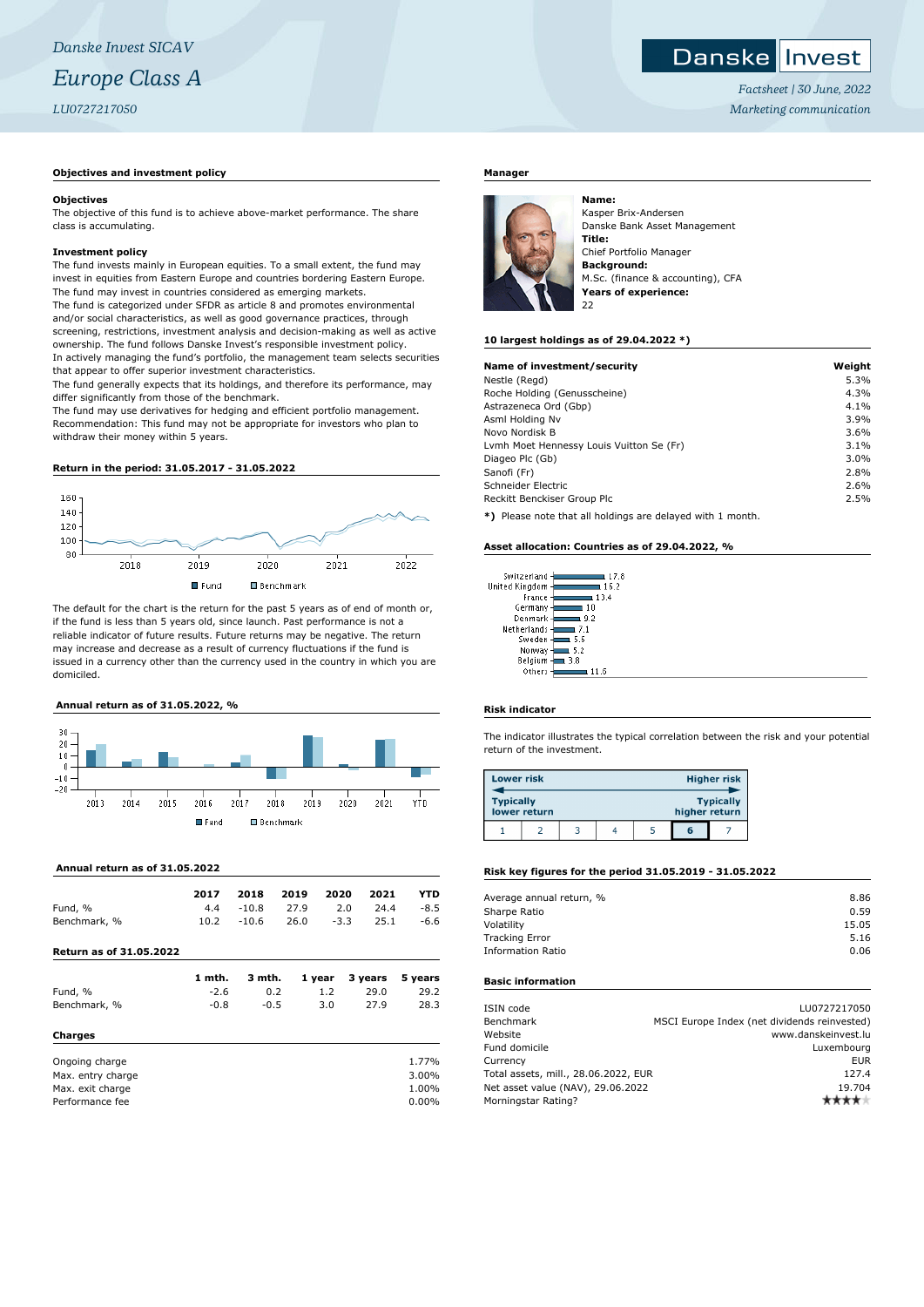#### Danskel Invest

*Factsheet | 30 June, 2022 Marketing communication*

## **Objectives and investment policy**

#### **Objectives**

The objective of this fund is to achieve above-market performance. The share class is accumulating.

### **Investment policy**

The fund invests mainly in European equities. To a small extent, the fund may invest in equities from Eastern Europe and countries bordering Eastern Europe. The fund may invest in countries considered as emerging markets. The fund is categorized under SFDR as article 8 and promotes environmental and/or social characteristics, as well as good governance practices, through screening, restrictions, investment analysis and decision-making as well as active ownership. The fund follows Danske Invest's responsible investment policy. In actively managing the fund's portfolio, the management team selects securities that appear to offer superior investment characteristics.

The fund generally expects that its holdings, and therefore its performance, may differ significantly from those of the benchmark.

The fund may use derivatives for hedging and efficient portfolio management. Recommendation: This fund may not be appropriate for investors who plan to withdraw their money within 5 years.

# **Return in the period: 31.05.2017 - 31.05.2022**



The default for the chart is the return for the past 5 years as of end of month or, if the fund is less than 5 years old, since launch. Past performance is not a reliable indicator of future results. Future returns may be negative. The return may increase and decrease as a result of currency fluctuations if the fund is issued in a currency other than the currency used in the country in which you are domiciled.

## **Annual return as of 31.05.2022, %**



## **Annual return as of 31.05.2022**

|                                | 2017   | 2018    | 2019 | 2020   | 2021    | YTD      |
|--------------------------------|--------|---------|------|--------|---------|----------|
| Fund, %                        | 4.4    | $-10.8$ | 27.9 | 2.0    | 24.4    | $-8.5$   |
| Benchmark, %                   | 10.2   | $-10.6$ | 26.0 | $-3.3$ | 25.1    | $-6.6$   |
| <b>Return as of 31.05.2022</b> |        |         |      |        |         |          |
|                                | 1 mth. | 3 mth.  |      | 1 year | 3 years | 5 years  |
| Fund, %                        | $-2.6$ | 0.2     |      | 1.2    | 29.0    | 29.2     |
| Benchmark, %                   | $-0.8$ | $-0.5$  |      | 3.0    | 27.9    | 28.3     |
| <b>Charges</b>                 |        |         |      |        |         |          |
| Ongoing charge                 |        |         |      |        |         | 1.77%    |
| Max. entry charge              |        |         |      |        |         | 3.00%    |
| Max. exit charge               |        |         |      |        |         | 1.00%    |
| Performance fee                |        |         |      |        |         | $0.00\%$ |

## **Manager**



Kasper Brix-Andersen Danske Bank Asset Management **Title:** Chief Portfolio Manager **Background:** M.Sc. (finance & accounting), CFA **Years of experience:**  $22$ 

#### **10 largest holdings as of 29.04.2022 \*)**

| Name of investment/security                                  | Weight |
|--------------------------------------------------------------|--------|
| Nestle (Regd)                                                | 5.3%   |
| Roche Holding (Genusscheine)                                 | 4.3%   |
| Astrazeneca Ord (Gbp)                                        | 4.1%   |
| Asml Holding Nv                                              | 3.9%   |
| Novo Nordisk B                                               | 3.6%   |
| Lymh Moet Hennessy Louis Vuitton Se (Fr)                     | 3.1%   |
| Diageo Plc (Gb)                                              | 3.0%   |
| Sanofi (Fr)                                                  | 2.8%   |
| Schneider Electric                                           | 2.6%   |
| Reckitt Benckiser Group Plc                                  | 2.5%   |
| $*1$ Dispos pote that all beldings are delayed with 1 member |        |

**\*)** Please note that all holdings are delayed with 1 month.

#### **Asset allocation: Countries as of 29.04.2022, %**

| Switzerland<br>17.8   |
|-----------------------|
| nited Kingdom<br>16.2 |
| France<br>13.4        |
| Germany<br>1 N        |
| Denmark<br>9.2        |
| Netherlands<br>71     |
| Sweden<br>5.6         |
| Norway<br>5.2         |
| Belgium<br>3.8        |
| Others                |

## **Risk indicator**

 $\overline{u}$ 

The indicator illustrates the typical correlation between the risk and your potential return of the investment.

| <b>Lower risk</b> |              |  |               | <b>Higher risk</b> |
|-------------------|--------------|--|---------------|--------------------|
| <b>Typically</b>  | lower return |  | higher return | <b>Typically</b>   |
|                   |              |  |               |                    |

#### **Risk key figures for the period 31.05.2019 - 31.05.2022**

| Average annual return, % | 8.86  |
|--------------------------|-------|
| Sharpe Ratio             | 0.59  |
| Volatility               | 15.05 |
| <b>Tracking Error</b>    | 5.16  |
| <b>Information Ratio</b> | 0.06  |
|                          |       |

## **Basic information**

| ISIN code                            | LU0727217050                                 |
|--------------------------------------|----------------------------------------------|
| Benchmark                            | MSCI Europe Index (net dividends reinvested) |
| Website                              | www.danskeinvest.lu                          |
| Fund domicile                        | Luxembourg                                   |
| Currency                             | <b>EUR</b>                                   |
| Total assets, mill., 28.06.2022, EUR | 127.4                                        |
| Net asset value (NAV), 29.06.2022    | 19.704                                       |
| Morningstar Rating?                  |                                              |